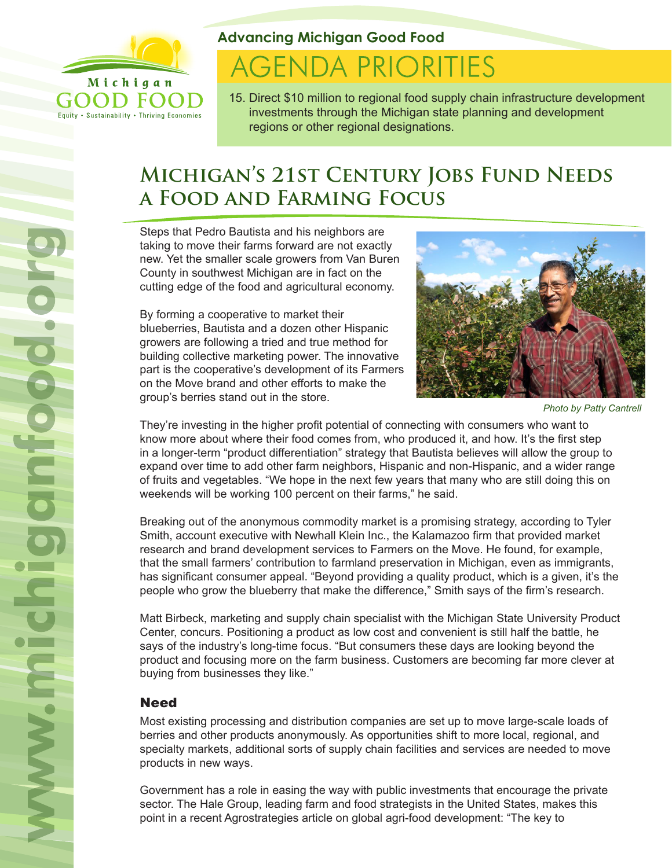

Equity . Sustainability . Thriving Economies

### **Advancing Michigan Good Food**

# **AGENDA PRIORITIES**

15. Direct \$10 million to regional food supply chain infrastructure development investments through the Michigan state planning and development regions or other regional designations.

## **Michigan's 21st Century Jobs Fund Needs a Food and Farming Focus**

Steps that Pedro Bautista and his neighbors are taking to move their farms forward are not exactly new. Yet the smaller scale growers from Van Buren County in southwest Michigan are in fact on the cutting edge of the food and agricultural economy.

By forming a cooperative to market their blueberries, Bautista and a dozen other Hispanic growers are following a tried and true method for building collective marketing power. The innovative part is the cooperative's development of its Farmers on the Move brand and other efforts to make the group's berries stand out in the store.



*Photo by Patty Cantrell*

They're investing in the higher profit potential of connecting with consumers who want to know more about where their food comes from, who produced it, and how. It's the first step in a longer-term "product differentiation" strategy that Bautista believes will allow the group to expand over time to add other farm neighbors, Hispanic and non-Hispanic, and a wider range of fruits and vegetables. "We hope in the next few years that many who are still doing this on weekends will be working 100 percent on their farms," he said.

Breaking out of the anonymous commodity market is a promising strategy, according to Tyler Smith, account executive with Newhall Klein Inc., the Kalamazoo firm that provided market research and brand development services to Farmers on the Move. He found, for example, that the small farmers' contribution to farmland preservation in Michigan, even as immigrants, has significant consumer appeal. "Beyond providing a quality product, which is a given, it's the people who grow the blueberry that make the difference," Smith says of the firm's research.

Matt Birbeck, marketing and supply chain specialist with the Michigan State University Product Center, concurs. Positioning a product as low cost and convenient is still half the battle, he says of the industry's long-time focus. "But consumers these days are looking beyond the product and focusing more on the farm business. Customers are becoming far more clever at buying from businesses they like."

#### **Need**

Most existing processing and distribution companies are set up to move large-scale loads of berries and other products anonymously. As opportunities shift to more local, regional, and specialty markets, additional sorts of supply chain facilities and services are needed to move products in new ways.

Government has a role in easing the way with public investments that encourage the private sector. The Hale Group, leading farm and food strategists in the United States, makes this point in a recent Agrostrategies article on global agri-food development: "The key to